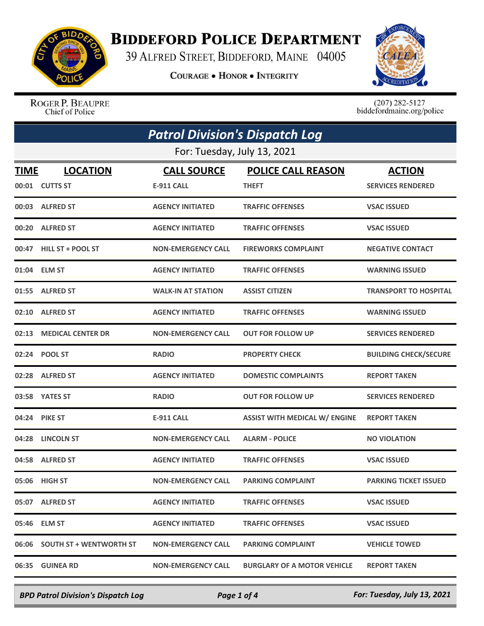

## **BIDDEFORD POLICE DEPARTMENT**

39 ALFRED STREET, BIDDEFORD, MAINE 04005

**COURAGE . HONOR . INTEGRITY** 



ROGER P. BEAUPRE Chief of Police

 $(207)$  282-5127<br>biddefordmaine.org/police

| <b>Patrol Division's Dispatch Log</b> |                               |                           |                                      |                              |  |
|---------------------------------------|-------------------------------|---------------------------|--------------------------------------|------------------------------|--|
|                                       | For: Tuesday, July 13, 2021   |                           |                                      |                              |  |
| TIME                                  | <b>LOCATION</b>               | <b>CALL SOURCE</b>        | <b>POLICE CALL REASON</b>            | <b>ACTION</b>                |  |
|                                       | 00:01 CUTTS ST                | <b>E-911 CALL</b>         | <b>THEFT</b>                         | <b>SERVICES RENDERED</b>     |  |
|                                       | 00:03 ALFRED ST               | <b>AGENCY INITIATED</b>   | <b>TRAFFIC OFFENSES</b>              | <b>VSAC ISSUED</b>           |  |
| 00:20                                 | <b>ALFRED ST</b>              | <b>AGENCY INITIATED</b>   | <b>TRAFFIC OFFENSES</b>              | <b>VSAC ISSUED</b>           |  |
|                                       | 00:47 HILL ST + POOL ST       | <b>NON-EMERGENCY CALL</b> | <b>FIREWORKS COMPLAINT</b>           | <b>NEGATIVE CONTACT</b>      |  |
|                                       | 01:04 ELM ST                  | <b>AGENCY INITIATED</b>   | <b>TRAFFIC OFFENSES</b>              | <b>WARNING ISSUED</b>        |  |
|                                       | 01:55 ALFRED ST               | <b>WALK-IN AT STATION</b> | <b>ASSIST CITIZEN</b>                | <b>TRANSPORT TO HOSPITAL</b> |  |
| 02:10                                 | <b>ALFRED ST</b>              | <b>AGENCY INITIATED</b>   | <b>TRAFFIC OFFENSES</b>              | <b>WARNING ISSUED</b>        |  |
| 02:13                                 | <b>MEDICAL CENTER DR</b>      | <b>NON-EMERGENCY CALL</b> | <b>OUT FOR FOLLOW UP</b>             | <b>SERVICES RENDERED</b>     |  |
|                                       | 02:24 POOL ST                 | <b>RADIO</b>              | <b>PROPERTY CHECK</b>                | <b>BUILDING CHECK/SECURE</b> |  |
|                                       | 02:28 ALFRED ST               | <b>AGENCY INITIATED</b>   | <b>DOMESTIC COMPLAINTS</b>           | <b>REPORT TAKEN</b>          |  |
|                                       | 03:58 YATES ST                | <b>RADIO</b>              | <b>OUT FOR FOLLOW UP</b>             | <b>SERVICES RENDERED</b>     |  |
|                                       | 04:24 PIKE ST                 | <b>E-911 CALL</b>         | <b>ASSIST WITH MEDICAL W/ ENGINE</b> | <b>REPORT TAKEN</b>          |  |
| 04:28                                 | <b>LINCOLN ST</b>             | <b>NON-EMERGENCY CALL</b> | <b>ALARM - POLICE</b>                | <b>NO VIOLATION</b>          |  |
|                                       | 04:58 ALFRED ST               | <b>AGENCY INITIATED</b>   | <b>TRAFFIC OFFENSES</b>              | <b>VSAC ISSUED</b>           |  |
|                                       | 05:06 HIGH ST                 | <b>NON-EMERGENCY CALL</b> | <b>PARKING COMPLAINT</b>             | <b>PARKING TICKET ISSUED</b> |  |
|                                       | 05:07 ALFRED ST               | <b>AGENCY INITIATED</b>   | <b>TRAFFIC OFFENSES</b>              | <b>VSAC ISSUED</b>           |  |
|                                       | 05:46 ELM ST                  | <b>AGENCY INITIATED</b>   | <b>TRAFFIC OFFENSES</b>              | <b>VSAC ISSUED</b>           |  |
|                                       | 06:06 SOUTH ST + WENTWORTH ST | <b>NON-EMERGENCY CALL</b> | <b>PARKING COMPLAINT</b>             | <b>VEHICLE TOWED</b>         |  |
|                                       | 06:35 GUINEA RD               | <b>NON-EMERGENCY CALL</b> | <b>BURGLARY OF A MOTOR VEHICLE</b>   | <b>REPORT TAKEN</b>          |  |

*BPD Patrol Division's Dispatch Log Page 1 of 4 For: Tuesday, July 13, 2021*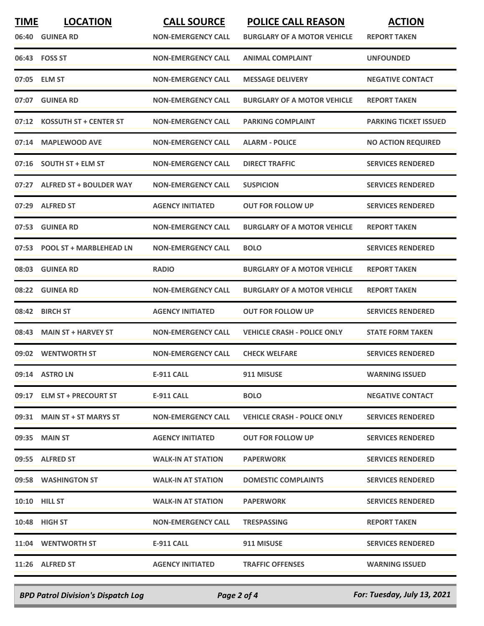| <b>TIME</b> | <b>LOCATION</b>                | <b>CALL SOURCE</b>        | <b>POLICE CALL REASON</b>          | <b>ACTION</b>                |
|-------------|--------------------------------|---------------------------|------------------------------------|------------------------------|
| 06:40       | <b>GUINEA RD</b>               | <b>NON-EMERGENCY CALL</b> | <b>BURGLARY OF A MOTOR VEHICLE</b> | <b>REPORT TAKEN</b>          |
|             | 06:43 FOSS ST                  | <b>NON-EMERGENCY CALL</b> | <b>ANIMAL COMPLAINT</b>            | <b>UNFOUNDED</b>             |
|             | 07:05 ELM ST                   | <b>NON-EMERGENCY CALL</b> | <b>MESSAGE DELIVERY</b>            | <b>NEGATIVE CONTACT</b>      |
| 07:07       | <b>GUINEA RD</b>               | <b>NON-EMERGENCY CALL</b> | <b>BURGLARY OF A MOTOR VEHICLE</b> | <b>REPORT TAKEN</b>          |
| 07:12       | <b>KOSSUTH ST + CENTER ST</b>  | <b>NON-EMERGENCY CALL</b> | <b>PARKING COMPLAINT</b>           | <b>PARKING TICKET ISSUED</b> |
|             | 07:14 MAPLEWOOD AVE            | <b>NON-EMERGENCY CALL</b> | <b>ALARM - POLICE</b>              | <b>NO ACTION REQUIRED</b>    |
| 07:16       | <b>SOUTH ST + ELM ST</b>       | <b>NON-EMERGENCY CALL</b> | <b>DIRECT TRAFFIC</b>              | <b>SERVICES RENDERED</b>     |
| 07:27       | <b>ALFRED ST + BOULDER WAY</b> | <b>NON-EMERGENCY CALL</b> | <b>SUSPICION</b>                   | <b>SERVICES RENDERED</b>     |
| 07:29       | <b>ALFRED ST</b>               | <b>AGENCY INITIATED</b>   | <b>OUT FOR FOLLOW UP</b>           | <b>SERVICES RENDERED</b>     |
| 07:53       | <b>GUINEA RD</b>               | <b>NON-EMERGENCY CALL</b> | <b>BURGLARY OF A MOTOR VEHICLE</b> | <b>REPORT TAKEN</b>          |
| 07:53       | <b>POOL ST + MARBLEHEAD LN</b> | <b>NON-EMERGENCY CALL</b> | <b>BOLO</b>                        | <b>SERVICES RENDERED</b>     |
| 08:03       | <b>GUINEA RD</b>               | <b>RADIO</b>              | <b>BURGLARY OF A MOTOR VEHICLE</b> | <b>REPORT TAKEN</b>          |
| 08:22       | <b>GUINEA RD</b>               | <b>NON-EMERGENCY CALL</b> | <b>BURGLARY OF A MOTOR VEHICLE</b> | <b>REPORT TAKEN</b>          |
| 08:42       | <b>BIRCH ST</b>                | <b>AGENCY INITIATED</b>   | <b>OUT FOR FOLLOW UP</b>           | <b>SERVICES RENDERED</b>     |
| 08:43       | <b>MAIN ST + HARVEY ST</b>     | <b>NON-EMERGENCY CALL</b> | <b>VEHICLE CRASH - POLICE ONLY</b> | <b>STATE FORM TAKEN</b>      |
|             | 09:02 WENTWORTH ST             | <b>NON-EMERGENCY CALL</b> | <b>CHECK WELFARE</b>               | <b>SERVICES RENDERED</b>     |
|             | 09:14 ASTRO LN                 | <b>E-911 CALL</b>         | 911 MISUSE                         | <b>WARNING ISSUED</b>        |
|             | 09:17 ELM ST + PRECOURT ST     | E-911 CALL                | <b>BOLO</b>                        | <b>NEGATIVE CONTACT</b>      |
|             | 09:31 MAIN ST + ST MARYS ST    | <b>NON-EMERGENCY CALL</b> | <b>VEHICLE CRASH - POLICE ONLY</b> | <b>SERVICES RENDERED</b>     |
|             | 09:35 MAIN ST                  | <b>AGENCY INITIATED</b>   | <b>OUT FOR FOLLOW UP</b>           | <b>SERVICES RENDERED</b>     |
|             | 09:55 ALFRED ST                | <b>WALK-IN AT STATION</b> | <b>PAPERWORK</b>                   | <b>SERVICES RENDERED</b>     |
|             | 09:58 WASHINGTON ST            | <b>WALK-IN AT STATION</b> | <b>DOMESTIC COMPLAINTS</b>         | <b>SERVICES RENDERED</b>     |
|             | <b>10:10 HILL ST</b>           | <b>WALK-IN AT STATION</b> | <b>PAPERWORK</b>                   | <b>SERVICES RENDERED</b>     |
|             | 10:48 HIGH ST                  | <b>NON-EMERGENCY CALL</b> | <b>TRESPASSING</b>                 | <b>REPORT TAKEN</b>          |
|             | 11:04 WENTWORTH ST             | E-911 CALL                | 911 MISUSE                         | <b>SERVICES RENDERED</b>     |
|             | 11:26 ALFRED ST                | <b>AGENCY INITIATED</b>   | <b>TRAFFIC OFFENSES</b>            | <b>WARNING ISSUED</b>        |
|             |                                |                           |                                    |                              |

*BPD Patrol Division's Dispatch Log Page 2 of 4 For: Tuesday, July 13, 2021*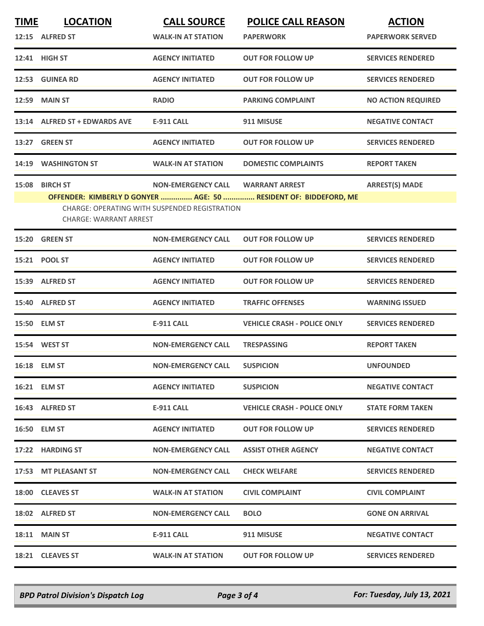| <b>TIME</b> | <b>LOCATION</b>                                 | <b>CALL SOURCE</b>                                                                | <b>POLICE CALL REASON</b>                                                                 | <b>ACTION</b>             |
|-------------|-------------------------------------------------|-----------------------------------------------------------------------------------|-------------------------------------------------------------------------------------------|---------------------------|
|             | 12:15 ALFRED ST                                 | <b>WALK-IN AT STATION</b>                                                         | <b>PAPERWORK</b>                                                                          | <b>PAPERWORK SERVED</b>   |
|             | 12:41 HIGH ST                                   | <b>AGENCY INITIATED</b>                                                           | <b>OUT FOR FOLLOW UP</b>                                                                  | <b>SERVICES RENDERED</b>  |
|             | 12:53 GUINEA RD                                 | <b>AGENCY INITIATED</b>                                                           | <b>OUT FOR FOLLOW UP</b>                                                                  | <b>SERVICES RENDERED</b>  |
|             | <b>12:59 MAIN ST</b>                            | <b>RADIO</b>                                                                      | <b>PARKING COMPLAINT</b>                                                                  | <b>NO ACTION REQUIRED</b> |
|             | 13:14 ALFRED ST + EDWARDS AVE                   | <b>E-911 CALL</b>                                                                 | 911 MISUSE                                                                                | <b>NEGATIVE CONTACT</b>   |
|             | 13:27 GREEN ST                                  | <b>AGENCY INITIATED</b>                                                           | <b>OUT FOR FOLLOW UP</b>                                                                  | <b>SERVICES RENDERED</b>  |
|             | 14:19 WASHINGTON ST                             | <b>WALK-IN AT STATION</b>                                                         | <b>DOMESTIC COMPLAINTS</b>                                                                | <b>REPORT TAKEN</b>       |
|             | 15:08 BIRCH ST<br><b>CHARGE: WARRANT ARREST</b> | <b>NON-EMERGENCY CALL</b><br><b>CHARGE: OPERATING WITH SUSPENDED REGISTRATION</b> | <b>WARRANT ARREST</b><br>OFFENDER: KIMBERLY D GONYER  AGE: 50  RESIDENT OF: BIDDEFORD, ME | <b>ARREST(S) MADE</b>     |
|             | 15:20 GREEN ST                                  | <b>NON-EMERGENCY CALL</b>                                                         | <b>OUT FOR FOLLOW UP</b>                                                                  | <b>SERVICES RENDERED</b>  |
|             | 15:21 POOL ST                                   | <b>AGENCY INITIATED</b>                                                           | <b>OUT FOR FOLLOW UP</b>                                                                  | <b>SERVICES RENDERED</b>  |
|             | 15:39 ALFRED ST                                 | <b>AGENCY INITIATED</b>                                                           | <b>OUT FOR FOLLOW UP</b>                                                                  | <b>SERVICES RENDERED</b>  |
|             | 15:40 ALFRED ST                                 | <b>AGENCY INITIATED</b>                                                           | <b>TRAFFIC OFFENSES</b>                                                                   | <b>WARNING ISSUED</b>     |
|             | 15:50 ELM ST                                    | <b>E-911 CALL</b>                                                                 | <b>VEHICLE CRASH - POLICE ONLY</b>                                                        | <b>SERVICES RENDERED</b>  |
|             | 15:54 WEST ST                                   | <b>NON-EMERGENCY CALL</b>                                                         | <b>TRESPASSING</b>                                                                        | <b>REPORT TAKEN</b>       |
|             | 16:18 ELM ST                                    | <b>NON-EMERGENCY CALL</b>                                                         | <b>SUSPICION</b>                                                                          | <b>UNFOUNDED</b>          |
|             | 16:21 ELM ST                                    | <b>AGENCY INITIATED</b>                                                           | <b>SUSPICION</b>                                                                          | <b>NEGATIVE CONTACT</b>   |
|             | 16:43 ALFRED ST                                 | <b>E-911 CALL</b>                                                                 | <b>VEHICLE CRASH - POLICE ONLY</b>                                                        | <b>STATE FORM TAKEN</b>   |
|             | 16:50 ELM ST                                    | <b>AGENCY INITIATED</b>                                                           | <b>OUT FOR FOLLOW UP</b>                                                                  | <b>SERVICES RENDERED</b>  |
|             | 17:22 HARDING ST                                | <b>NON-EMERGENCY CALL</b>                                                         | <b>ASSIST OTHER AGENCY</b>                                                                | <b>NEGATIVE CONTACT</b>   |
|             | 17:53 MT PLEASANT ST                            | <b>NON-EMERGENCY CALL</b>                                                         | <b>CHECK WELFARE</b>                                                                      | <b>SERVICES RENDERED</b>  |
|             | 18:00 CLEAVES ST                                | <b>WALK-IN AT STATION</b>                                                         | <b>CIVIL COMPLAINT</b>                                                                    | <b>CIVIL COMPLAINT</b>    |
|             | 18:02 ALFRED ST                                 | <b>NON-EMERGENCY CALL</b>                                                         | <b>BOLO</b>                                                                               | <b>GONE ON ARRIVAL</b>    |
|             | 18:11 MAIN ST                                   | <b>E-911 CALL</b>                                                                 | 911 MISUSE                                                                                | <b>NEGATIVE CONTACT</b>   |
|             | 18:21 CLEAVES ST                                | <b>WALK-IN AT STATION</b>                                                         | <b>OUT FOR FOLLOW UP</b>                                                                  | <b>SERVICES RENDERED</b>  |
|             |                                                 |                                                                                   |                                                                                           |                           |

*BPD Patrol Division's Dispatch Log Page 3 of 4 For: Tuesday, July 13, 2021*